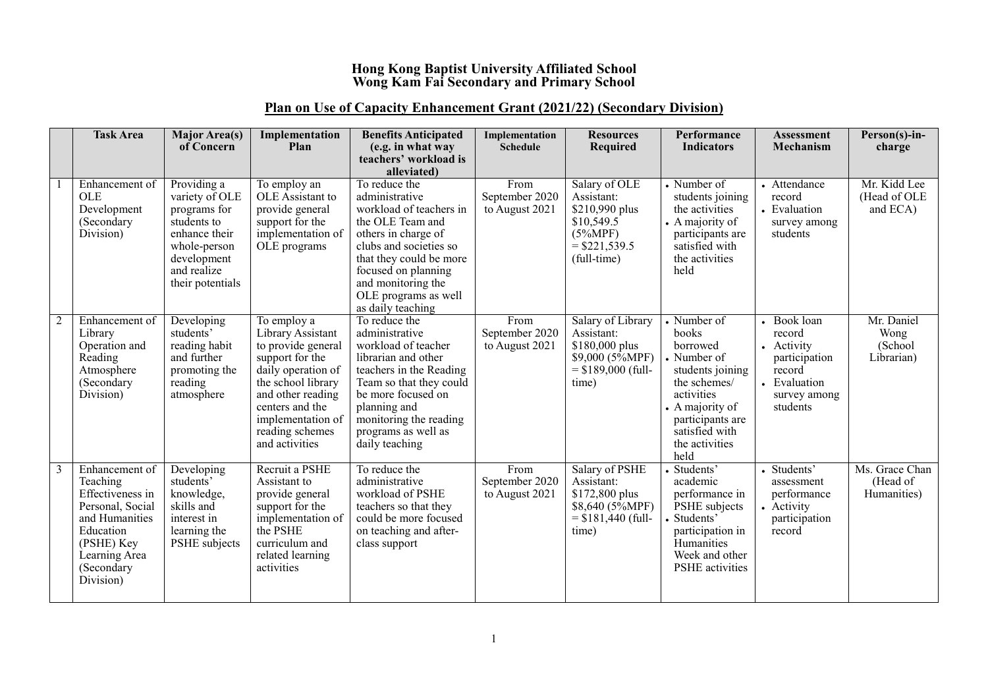## **Hong Kong Baptist University Affiliated School Wong Kam Fai Secondary and Primary School**

## **Plan on Use of Capacity Enhancement Grant (2021/22) (Secondary Division)**

|   | <b>Task Area</b>                                                                                                                                            | <b>Major Area(s)</b><br>of Concern                                                                                                              | Implementation<br>Plan                                                                                                                                                                                                  | <b>Benefits Anticipated</b><br>(e.g. in what way<br>teachers' workload is<br>alleviated)                                                                                                                                                             | Implementation<br><b>Schedule</b>        | <b>Resources</b><br><b>Required</b>                                                                         | Performance<br><b>Indicators</b>                                                                                                                                                     | <b>Assessment</b><br>Mechanism                                                                           | Person(s)-in-<br>charge                     |
|---|-------------------------------------------------------------------------------------------------------------------------------------------------------------|-------------------------------------------------------------------------------------------------------------------------------------------------|-------------------------------------------------------------------------------------------------------------------------------------------------------------------------------------------------------------------------|------------------------------------------------------------------------------------------------------------------------------------------------------------------------------------------------------------------------------------------------------|------------------------------------------|-------------------------------------------------------------------------------------------------------------|--------------------------------------------------------------------------------------------------------------------------------------------------------------------------------------|----------------------------------------------------------------------------------------------------------|---------------------------------------------|
|   | Enhancement of<br><b>OLE</b><br>Development<br>(Secondary<br>Division)                                                                                      | Providing a<br>variety of OLE<br>programs for<br>students to<br>enhance their<br>whole-person<br>development<br>and realize<br>their potentials | To employ an<br>OLE Assistant to<br>provide general<br>support for the<br>implementation of<br>OLE programs                                                                                                             | To reduce the<br>administrative<br>workload of teachers in<br>the OLE Team and<br>others in charge of<br>clubs and societies so<br>that they could be more<br>focused on planning<br>and monitoring the<br>OLE programs as well<br>as daily teaching | From<br>September 2020<br>to August 2021 | Salary of OLE<br>Assistant:<br>\$210,990 plus<br>\$10,549.5<br>$(5\%MPF)$<br>$=$ \$221,539.5<br>(full-time) | • Number of<br>students joining<br>the activities<br>• A majority of<br>participants are<br>satisfied with<br>the activities<br>held                                                 | • Attendance<br>record<br>• Evaluation<br>survey among<br>students                                       | Mr. Kidd Lee<br>(Head of OLE<br>and ECA)    |
|   | Enhancement of<br>Library<br>Operation and<br>Reading<br>Atmosphere<br>(Secondary<br>Division)                                                              | Developing<br>students'<br>reading habit<br>and further<br>promoting the<br>reading<br>atmosphere                                               | To employ a<br>Library Assistant<br>to provide general<br>support for the<br>daily operation of<br>the school library<br>and other reading<br>centers and the<br>implementation of<br>reading schemes<br>and activities | To reduce the<br>administrative<br>workload of teacher<br>librarian and other<br>teachers in the Reading<br>Team so that they could<br>be more focused on<br>planning and<br>monitoring the reading<br>programs as well as<br>daily teaching         | From<br>September 2020<br>to August 2021 | Salary of Library<br>Assistant:<br>\$180,000 plus<br>$$9,000 (5\%MPF)$<br>$=$ \$189,000 (full-<br>time)     | • Number of<br>books<br>borrowed<br>• Number of<br>students joining<br>the schemes/<br>activities<br>• A majority of<br>participants are<br>satisfied with<br>the activities<br>held | Book loan<br>record<br>• Activity<br>participation<br>record<br>• Evaluation<br>survey among<br>students | Mr. Daniel<br>Wong<br>(School<br>Librarian) |
| 3 | Enhancement of<br>Teaching<br>Effectiveness in<br>Personal, Social<br>and Humanities<br>Education<br>(PSHE) Key<br>Learning Area<br>(Secondary<br>Division) | Developing<br>students'<br>knowledge,<br>skills and<br>interest in<br>learning the<br>PSHE subjects                                             | Recruit a PSHE<br>Assistant to<br>provide general<br>support for the<br>implementation of<br>the PSHE<br>curriculum and<br>related learning<br>activities                                                               | To reduce the<br>administrative<br>workload of PSHE<br>teachers so that they<br>could be more focused<br>on teaching and after-<br>class support                                                                                                     | From<br>September 2020<br>to August 2021 | Salary of PSHE<br>Assistant:<br>\$172,800 plus<br>\$8,640 (5%MPF)<br>$=$ \$181,440 (full-<br>time)          | Students'<br>academic<br>performance in<br>PSHE subjects<br>Students'<br>participation in<br>Humanities<br>Week and other<br><b>PSHE</b> activities                                  | • Students'<br>assessment<br>performance<br>• Activity<br>participation<br>record                        | Ms. Grace Chan<br>(Head of<br>Humanities)   |